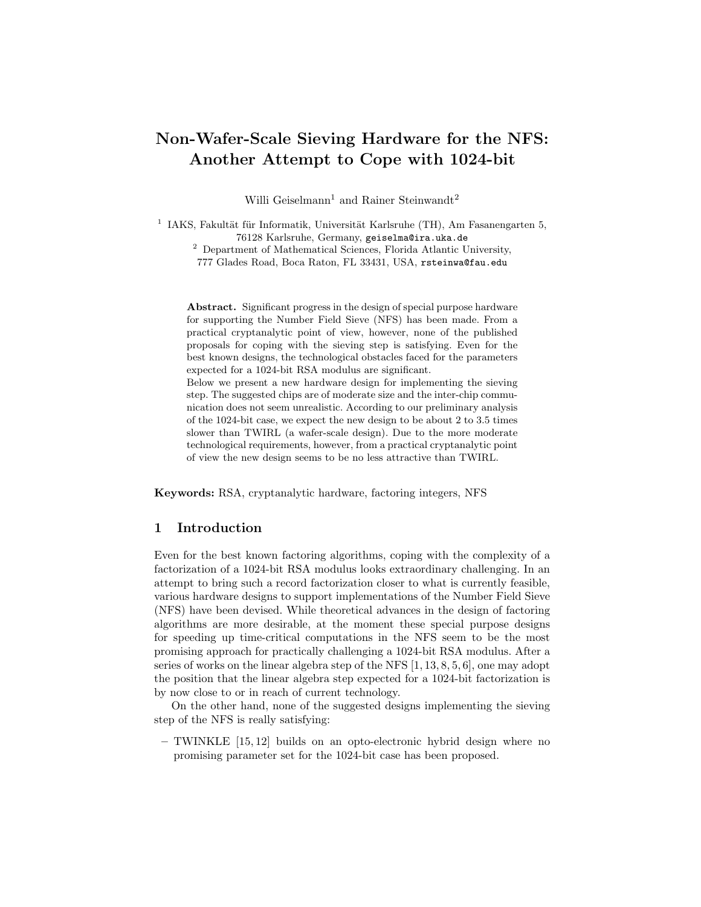# Non-Wafer-Scale Sieving Hardware for the NFS: Another Attempt to Cope with 1024-bit

Willi Geiselmann<sup>1</sup> and Rainer Steinwandt<sup>2</sup>

<sup>1</sup> IAKS, Fakultät für Informatik, Universität Karlsruhe (TH), Am Fasanengarten 5, 76128 Karlsruhe, Germany, geiselma@ira.uka.de

<sup>2</sup> Department of Mathematical Sciences, Florida Atlantic University, 777 Glades Road, Boca Raton, FL 33431, USA, rsteinwa@fau.edu

Abstract. Significant progress in the design of special purpose hardware for supporting the Number Field Sieve (NFS) has been made. From a practical cryptanalytic point of view, however, none of the published proposals for coping with the sieving step is satisfying. Even for the best known designs, the technological obstacles faced for the parameters expected for a 1024-bit RSA modulus are significant.

Below we present a new hardware design for implementing the sieving step. The suggested chips are of moderate size and the inter-chip communication does not seem unrealistic. According to our preliminary analysis of the 1024-bit case, we expect the new design to be about 2 to 3.5 times slower than TWIRL (a wafer-scale design). Due to the more moderate technological requirements, however, from a practical cryptanalytic point of view the new design seems to be no less attractive than TWIRL.

Keywords: RSA, cryptanalytic hardware, factoring integers, NFS

# 1 Introduction

Even for the best known factoring algorithms, coping with the complexity of a factorization of a 1024-bit RSA modulus looks extraordinary challenging. In an attempt to bring such a record factorization closer to what is currently feasible, various hardware designs to support implementations of the Number Field Sieve (NFS) have been devised. While theoretical advances in the design of factoring algorithms are more desirable, at the moment these special purpose designs for speeding up time-critical computations in the NFS seem to be the most promising approach for practically challenging a 1024-bit RSA modulus. After a series of works on the linear algebra step of the NFS [1, 13, 8, 5, 6], one may adopt the position that the linear algebra step expected for a 1024-bit factorization is by now close to or in reach of current technology.

On the other hand, none of the suggested designs implementing the sieving step of the NFS is really satisfying:

– TWINKLE [15, 12] builds on an opto-electronic hybrid design where no promising parameter set for the 1024-bit case has been proposed.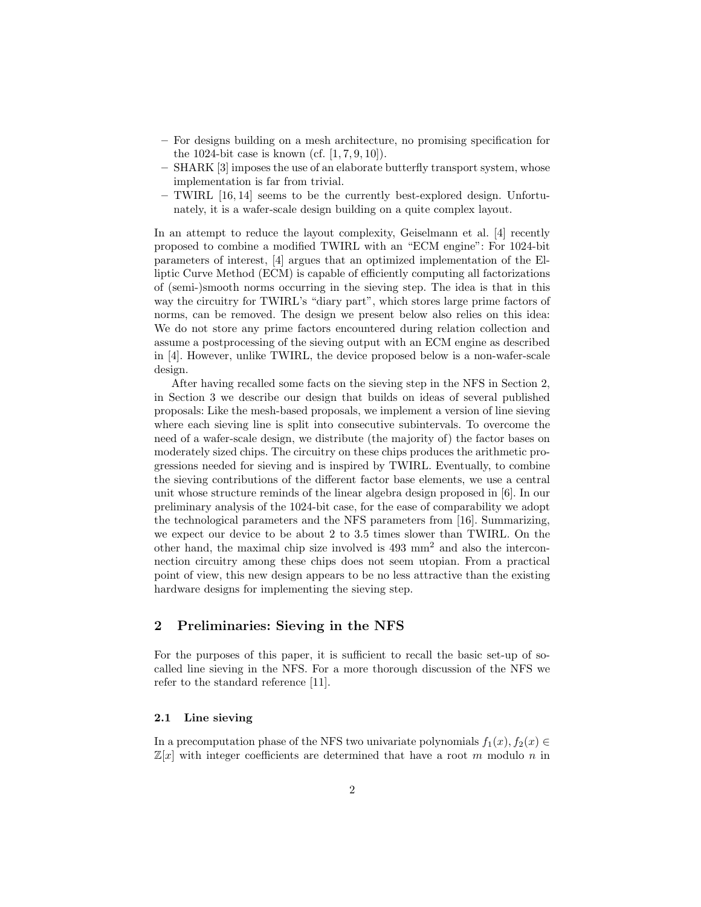- For designs building on a mesh architecture, no promising specification for the 1024-bit case is known (cf.  $[1, 7, 9, 10]$ ).
- SHARK [3] imposes the use of an elaborate butterfly transport system, whose implementation is far from trivial.
- TWIRL [16, 14] seems to be the currently best-explored design. Unfortunately, it is a wafer-scale design building on a quite complex layout.

In an attempt to reduce the layout complexity, Geiselmann et al. [4] recently proposed to combine a modified TWIRL with an "ECM engine": For 1024-bit parameters of interest, [4] argues that an optimized implementation of the Elliptic Curve Method (ECM) is capable of efficiently computing all factorizations of (semi-)smooth norms occurring in the sieving step. The idea is that in this way the circuitry for TWIRL's "diary part", which stores large prime factors of norms, can be removed. The design we present below also relies on this idea: We do not store any prime factors encountered during relation collection and assume a postprocessing of the sieving output with an ECM engine as described in [4]. However, unlike TWIRL, the device proposed below is a non-wafer-scale design.

After having recalled some facts on the sieving step in the NFS in Section 2, in Section 3 we describe our design that builds on ideas of several published proposals: Like the mesh-based proposals, we implement a version of line sieving where each sieving line is split into consecutive subintervals. To overcome the need of a wafer-scale design, we distribute (the majority of) the factor bases on moderately sized chips. The circuitry on these chips produces the arithmetic progressions needed for sieving and is inspired by TWIRL. Eventually, to combine the sieving contributions of the different factor base elements, we use a central unit whose structure reminds of the linear algebra design proposed in [6]. In our preliminary analysis of the 1024-bit case, for the ease of comparability we adopt the technological parameters and the NFS parameters from [16]. Summarizing, we expect our device to be about 2 to 3.5 times slower than TWIRL. On the other hand, the maximal chip size involved is 493 mm<sup>2</sup> and also the interconnection circuitry among these chips does not seem utopian. From a practical point of view, this new design appears to be no less attractive than the existing hardware designs for implementing the sieving step.

# 2 Preliminaries: Sieving in the NFS

For the purposes of this paper, it is sufficient to recall the basic set-up of socalled line sieving in the NFS. For a more thorough discussion of the NFS we refer to the standard reference [11].

# 2.1 Line sieving

In a precomputation phase of the NFS two univariate polynomials  $f_1(x)$ ,  $f_2(x) \in$  $\mathbb{Z}[x]$  with integer coefficients are determined that have a root m modulo n in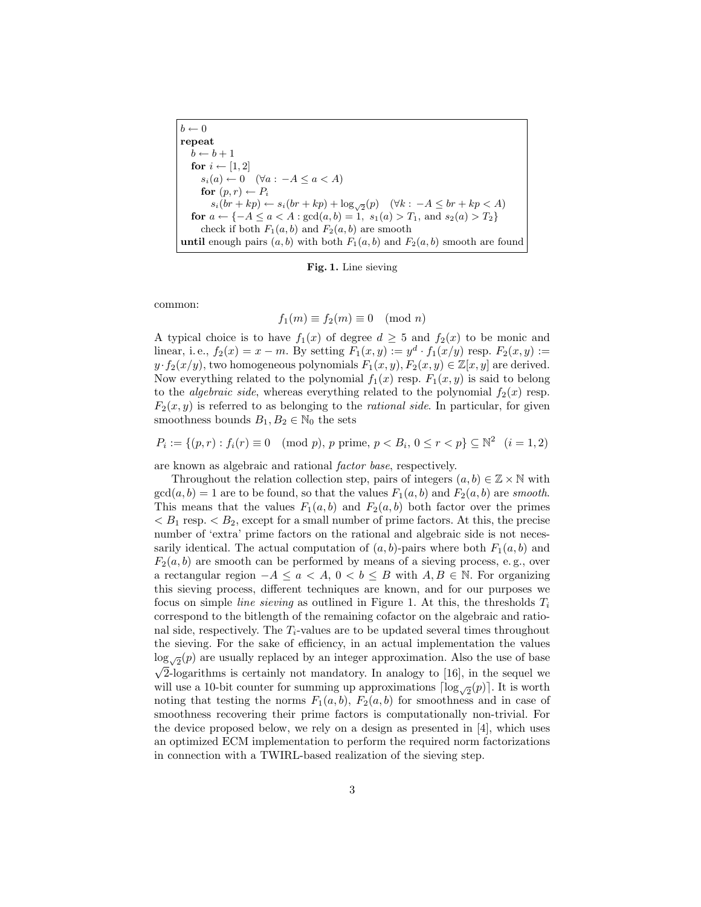$b \leftarrow 0$ repeat  $b \leftarrow b + 1$ for  $i \leftarrow [1, 2]$  $s_i(a) \leftarrow 0 \quad (\forall a : -A \leq a < A)$ for  $(p, r) \leftarrow P_i$  $s_i(br + kp) \leftarrow s_i(br + kp) + \log_{\sqrt{2}}(p) \quad (\forall k : -A \le br + kp < A)$ for  $a \leftarrow \{-A \leq a < A : \gcd(a, b) = 1, s_1(a) > T_1, \text{ and } s_2(a) > T_2\}$ check if both  $F_1(a, b)$  and  $F_2(a, b)$  are smooth until enough pairs  $(a, b)$  with both  $F_1(a, b)$  and  $F_2(a, b)$  smooth are found

Fig. 1. Line sieving

common:

$$
f_1(m) \equiv f_2(m) \equiv 0 \pmod{n}
$$

A typical choice is to have  $f_1(x)$  of degree  $d \geq 5$  and  $f_2(x)$  to be monic and linear, i.e.,  $f_2(x) = x - m$ . By setting  $F_1(x, y) := y^d \cdot f_1(x/y)$  resp.  $F_2(x, y) :=$  $y \cdot f_2(x/y)$ , two homogeneous polynomials  $F_1(x, y), F_2(x, y) \in \mathbb{Z}[x, y]$  are derived. Now everything related to the polynomial  $f_1(x)$  resp.  $F_1(x, y)$  is said to belong to the *algebraic side*, whereas everything related to the polynomial  $f_2(x)$  resp.  $F_2(x, y)$  is referred to as belonging to the *rational side*. In particular, for given smoothness bounds  $B_1, B_2 \in \mathbb{N}_0$  the sets

$$
P_i := \{ (p, r) : f_i(r) \equiv 0 \pmod{p}, \ p \text{ prime}, \ p < B_i, \ 0 \le r < p \} \subseteq \mathbb{N}^2 \quad (i = 1, 2)
$$

are known as algebraic and rational factor base, respectively.

Throughout the relation collection step, pairs of integers  $(a, b) \in \mathbb{Z} \times \mathbb{N}$  with  $gcd(a, b) = 1$  are to be found, so that the values  $F_1(a, b)$  and  $F_2(a, b)$  are smooth. This means that the values  $F_1(a, b)$  and  $F_2(a, b)$  both factor over the primes  $B_1$  resp.  $B_2$ , except for a small number of prime factors. At this, the precise number of 'extra' prime factors on the rational and algebraic side is not necessarily identical. The actual computation of  $(a, b)$ -pairs where both  $F_1(a, b)$  and  $F_2(a, b)$  are smooth can be performed by means of a sieving process, e.g., over a rectangular region  $-A \le a < A$ ,  $0 < b \le B$  with  $A, B \in \mathbb{N}$ . For organizing this sieving process, different techniques are known, and for our purposes we focus on simple *line sieving* as outlined in Figure 1. At this, the thresholds  $T_i$ correspond to the bitlength of the remaining cofactor on the algebraic and rational side, respectively. The  $T_i$ -values are to be updated several times throughout the sieving. For the sake of efficiency, in an actual implementation the values  $\log_{\sqrt{2}}(p)$  are usually replaced by an integer approximation. Also the use of base  $\sqrt{2}$ -logarithms is certainly not mandatory. In analogy to [16], in the sequel we will use a 10-bit counter for summing up approximations  $\lceil \log_{\sqrt{2}}(p) \rceil$ . It is worth noting that testing the norms  $F_1(a, b)$ ,  $F_2(a, b)$  for smoothness and in case of smoothness recovering their prime factors is computationally non-trivial. For the device proposed below, we rely on a design as presented in  $[4]$ , which uses an optimized ECM implementation to perform the required norm factorizations in connection with a TWIRL-based realization of the sieving step.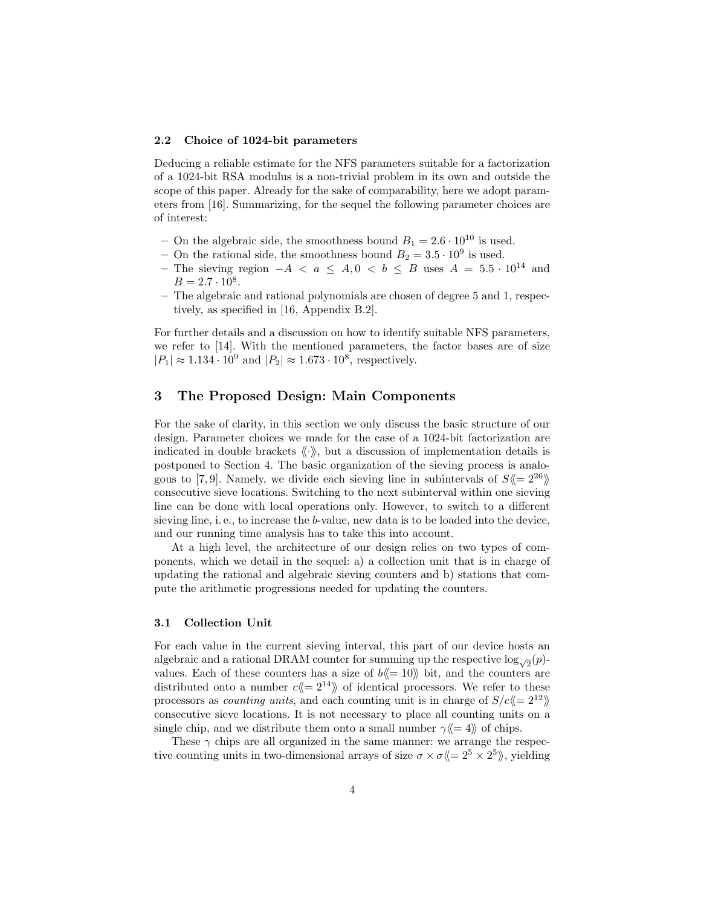#### 2.2 Choice of 1024-bit parameters

Deducing a reliable estimate for the NFS parameters suitable for a factorization of a 1024-bit RSA modulus is a non-trivial problem in its own and outside the scope of this paper. Already for the sake of comparability, here we adopt parameters from [16]. Summarizing, for the sequel the following parameter choices are of interest:

- On the algebraic side, the smoothness bound  $B_1 = 2.6 \cdot 10^{10}$  is used.
- On the rational side, the smoothness bound  $B_2 = 3.5 \cdot 10^9$  is used.
- The sieving region  $-A < a \leq A, 0 < b \leq B$  uses  $A = 5.5 \cdot 10^{14}$  and  $B = 2.7 \cdot 10^8$ .
- The algebraic and rational polynomials are chosen of degree 5 and 1, respectively, as specified in [16, Appendix B.2].

For further details and a discussion on how to identify suitable NFS parameters, we refer to [14]. With the mentioned parameters, the factor bases are of size  $|P_1| \approx 1.134 \cdot 10^9$  and  $|P_2| \approx 1.673 \cdot 10^8$ , respectively.

# 3 The Proposed Design: Main Components

For the sake of clarity, in this section we only discuss the basic structure of our design. Parameter choices we made for the case of a 1024-bit factorization are indicated in double brackets  $\langle \cdot \rangle$ , but a discussion of implementation details is postponed to Section 4. The basic organization of the sieving process is analogous to [7,9]. Namely, we divide each sieving line in subintervals of  $S \langle 2^{26} \rangle$ consecutive sieve locations. Switching to the next subinterval within one sieving line can be done with local operations only. However, to switch to a different sieving line, i. e., to increase the b-value, new data is to be loaded into the device, and our running time analysis has to take this into account.

At a high level, the architecture of our design relies on two types of components, which we detail in the sequel: a) a collection unit that is in charge of updating the rational and algebraic sieving counters and b) stations that compute the arithmetic progressions needed for updating the counters.

## 3.1 Collection Unit

For each value in the current sieving interval, this part of our device hosts an algebraic and a rational DRAM counter for summing up the respective  $\log_{\sqrt{2}}(p)$ values. Each of these counters has a size of  $b \le 10$  bit, and the counters are distributed onto a number  $c \leq 2^{14}$  of identical processors. We refer to these processors as *counting units*, and each counting unit is in charge of  $S/c\langle\!\langle= 2^{12}\rangle\!\rangle$ consecutive sieve locations. It is not necessary to place all counting units on a single chip, and we distribute them onto a small number  $\gamma \langle 4 \rangle$  of chips.

These  $\gamma$  chips are all organized in the same manner: we arrange the respective counting units in two-dimensional arrays of size  $\sigma \times \sigma \langle\!\langle = 2^5 \times 2^5 \rangle\!\rangle$ , yielding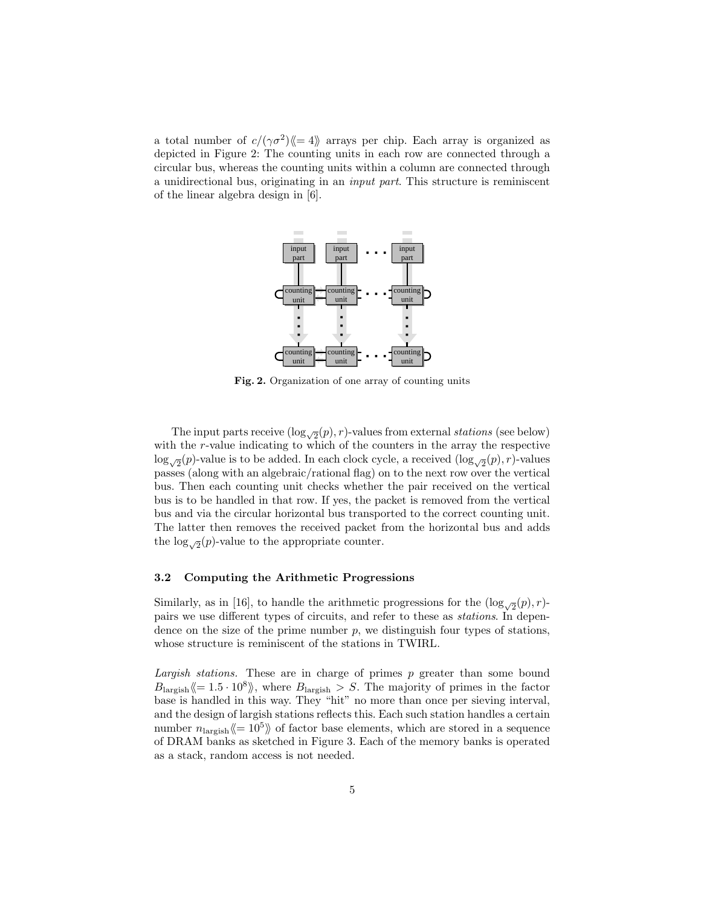a total number of  $c/(\gamma \sigma^2)$  = 4) arrays per chip. Each array is organized as depicted in Figure 2: The counting units in each row are connected through a circular bus, whereas the counting units within a column are connected through a unidirectional bus, originating in an input part. This structure is reminiscent of the linear algebra design in [6].



Fig. 2. Organization of one array of counting units

The input parts receive  $(\log_{\sqrt{2}}(p), r)$ -values from external stations (see below) with the r-value indicating to which of the counters in the array the respective  $\log_{\sqrt{2}}(p)$ -value is to be added. In each clock cycle, a received  $(\log_{\sqrt{2}}(p), r)$ -values passes (along with an algebraic/rational flag) on to the next row over the vertical bus. Then each counting unit checks whether the pair received on the vertical bus is to be handled in that row. If yes, the packet is removed from the vertical bus and via the circular horizontal bus transported to the correct counting unit. The latter then removes the received packet from the horizontal bus and adds the  $\log_{\sqrt{2}}(p)$ -value to the appropriate counter.

### 3.2 Computing the Arithmetic Progressions

Similarly, as in [16], to handle the arithmetic progressions for the  $(\log_{\sqrt{2}}(p), r)$ pairs we use different types of circuits, and refer to these as stations. In dependence on the size of the prime number  $p$ , we distinguish four types of stations, whose structure is reminiscent of the stations in TWIRL.

Largish stations. These are in charge of primes  $p$  greater than some bound  $B_{\text{largish}} \langle 1.5 \cdot 10^8 \rangle$ , where  $B_{\text{largish}} > S$ . The majority of primes in the factor base is handled in this way. They "hit" no more than once per sieving interval, and the design of largish stations reflects this. Each such station handles a certain number  $n_{\text{largish}} \langle 10^5 \rangle$  of factor base elements, which are stored in a sequence of DRAM banks as sketched in Figure 3. Each of the memory banks is operated as a stack, random access is not needed.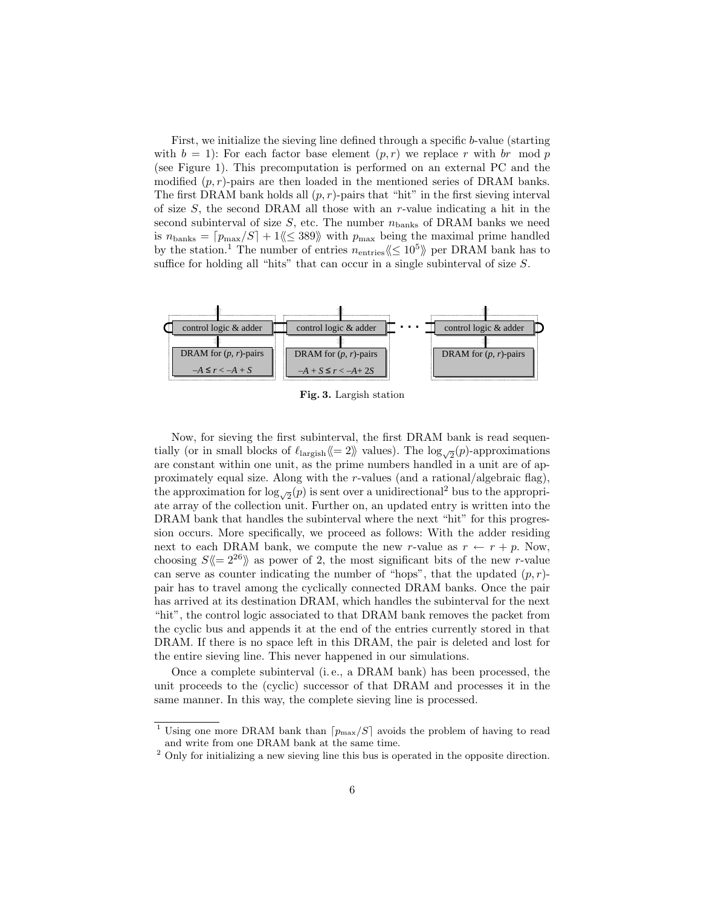First, we initialize the sieving line defined through a specific b-value (starting with  $b = 1$ : For each factor base element  $(p, r)$  we replace r with br mod p (see Figure 1). This precomputation is performed on an external PC and the modified  $(p, r)$ -pairs are then loaded in the mentioned series of DRAM banks. The first DRAM bank holds all  $(p, r)$ -pairs that "hit" in the first sieving interval of size  $S$ , the second DRAM all those with an  $r$ -value indicating a hit in the second subinterval of size  $S$ , etc. The number  $n_{\text{banks}}$  of DRAM banks we need is  $n_{\text{banks}} = [p_{\text{max}}/S] + 1 \langle \langle \leq 389 \rangle \rangle$  with  $p_{\text{max}}$  being the maximal prime handled by the station.<sup>1</sup> The number of entries  $n_{\text{entries}} \langle \leq 10^5 \rangle$  per DRAM bank has to suffice for holding all "hits" that can occur in a single subinterval of size  $S$ .



Fig. 3. Largish station

Now, for sieving the first subinterval, the first DRAM bank is read sequentially (or in small blocks of  $\ell_{\text{largish}} \langle\!\langle= 2 \rangle\!\rangle$  values). The  $\log_{\sqrt{2}}(p)$ -approximations are constant within one unit, as the prime numbers handled in a unit are of approximately equal size. Along with the r-values (and a rational/algebraic flag), the approximation for  $\log_{\sqrt{2}}(p)$  is sent over a unidirectional<sup>2</sup> bus to the appropriate array of the collection unit. Further on, an updated entry is written into the DRAM bank that handles the subinterval where the next "hit" for this progression occurs. More specifically, we proceed as follows: With the adder residing next to each DRAM bank, we compute the new r-value as  $r \leftarrow r + p$ . Now, choosing  $S\langle\!\langle= 2^{26}\rangle\!\rangle$  as power of 2, the most significant bits of the new r-value can serve as counter indicating the number of "hops", that the updated  $(p, r)$ pair has to travel among the cyclically connected DRAM banks. Once the pair has arrived at its destination DRAM, which handles the subinterval for the next "hit", the control logic associated to that DRAM bank removes the packet from the cyclic bus and appends it at the end of the entries currently stored in that DRAM. If there is no space left in this DRAM, the pair is deleted and lost for the entire sieving line. This never happened in our simulations.

Once a complete subinterval (i. e., a DRAM bank) has been processed, the unit proceeds to the (cyclic) successor of that DRAM and processes it in the same manner. In this way, the complete sieving line is processed.

<sup>&</sup>lt;sup>1</sup> Using one more DRAM bank than  $\lceil p_{\text{max}}/S \rceil$  avoids the problem of having to read and write from one DRAM bank at the same time.

 $2$  Only for initializing a new sieving line this bus is operated in the opposite direction.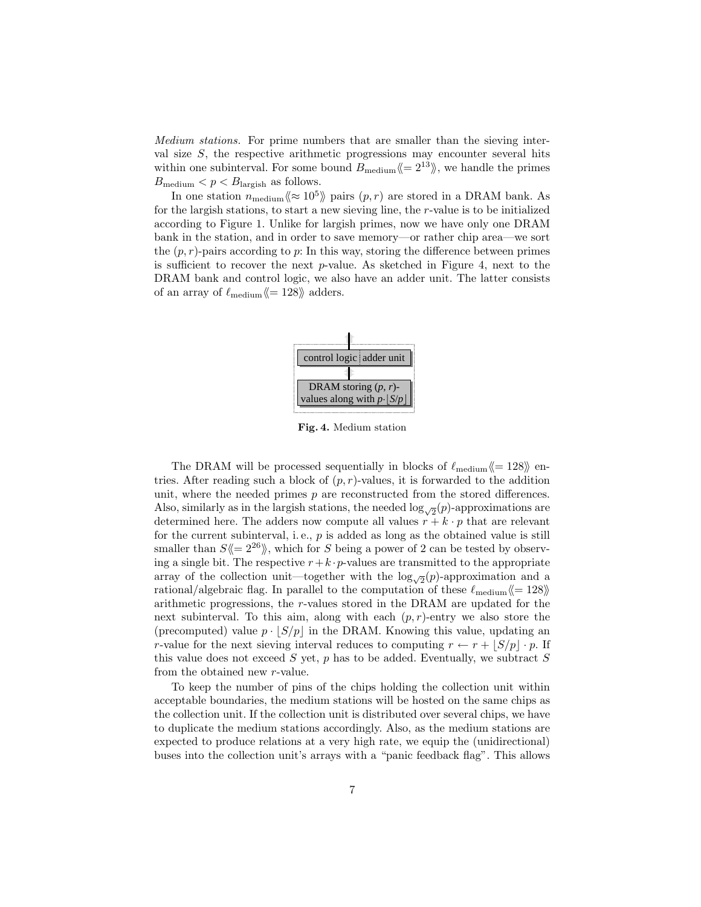Medium stations. For prime numbers that are smaller than the sieving interval size  $S$ , the respective arithmetic progressions may encounter several hits within one subinterval. For some bound  $B_{\text{medium}} \langle\!\langle = 2^{13} \rangle\!\rangle$ , we handle the primes  $B_{\text{medium}} < p < B_{\text{largish}}$  as follows.

In one station  $n_{\text{medium}} \langle \approx 10^5 \rangle$  pairs  $(p, r)$  are stored in a DRAM bank. As for the largish stations, to start a new sieving line, the r-value is to be initialized according to Figure 1. Unlike for largish primes, now we have only one DRAM bank in the station, and in order to save memory—or rather chip area—we sort the  $(p, r)$ -pairs according to p: In this way, storing the difference between primes is sufficient to recover the next  $p$ -value. As sketched in Figure 4, next to the DRAM bank and control logic, we also have an adder unit. The latter consists of an array of  $\ell_{\text{medium}}\langle 128 \rangle$  adders.



Fig. 4. Medium station

The DRAM will be processed sequentially in blocks of  $\ell_{\text{medium}} \langle = 128 \rangle$  entries. After reading such a block of  $(p, r)$ -values, it is forwarded to the addition unit, where the needed primes  $p$  are reconstructed from the stored differences. Also, similarly as in the largish stations, the needed  $\log_{\sqrt{2}}(p)$ -approximations are determined here. The adders now compute all values  $r + k \cdot p$  that are relevant for the current subinterval, i.e.,  $p$  is added as long as the obtained value is still smaller than  $S\langle\!\langle= 2^{26}\rangle\!\rangle$ , which for S being a power of 2 can be tested by observing a single bit. The respective  $r+k \cdot p$ -values are transmitted to the appropriate array of the collection unit—together with the  $\log_{\sqrt{2}}(p)$ -approximation and a rational/algebraic flag. In parallel to the computation of these  $\ell_{\rm medium}\langle = 128\rangle\!\rangle$ arithmetic progressions, the r-values stored in the DRAM are updated for the next subinterval. To this aim, along with each  $(p, r)$ -entry we also store the (precomputed) value  $p \cdot |S/p|$  in the DRAM. Knowing this value, updating an r-value for the next sieving interval reduces to computing  $r \leftarrow r + |S/p| \cdot p$ . If this value does not exceed  $S$  yet,  $p$  has to be added. Eventually, we subtract  $S$ from the obtained new r-value.

To keep the number of pins of the chips holding the collection unit within acceptable boundaries, the medium stations will be hosted on the same chips as the collection unit. If the collection unit is distributed over several chips, we have to duplicate the medium stations accordingly. Also, as the medium stations are expected to produce relations at a very high rate, we equip the (unidirectional) buses into the collection unit's arrays with a "panic feedback flag". This allows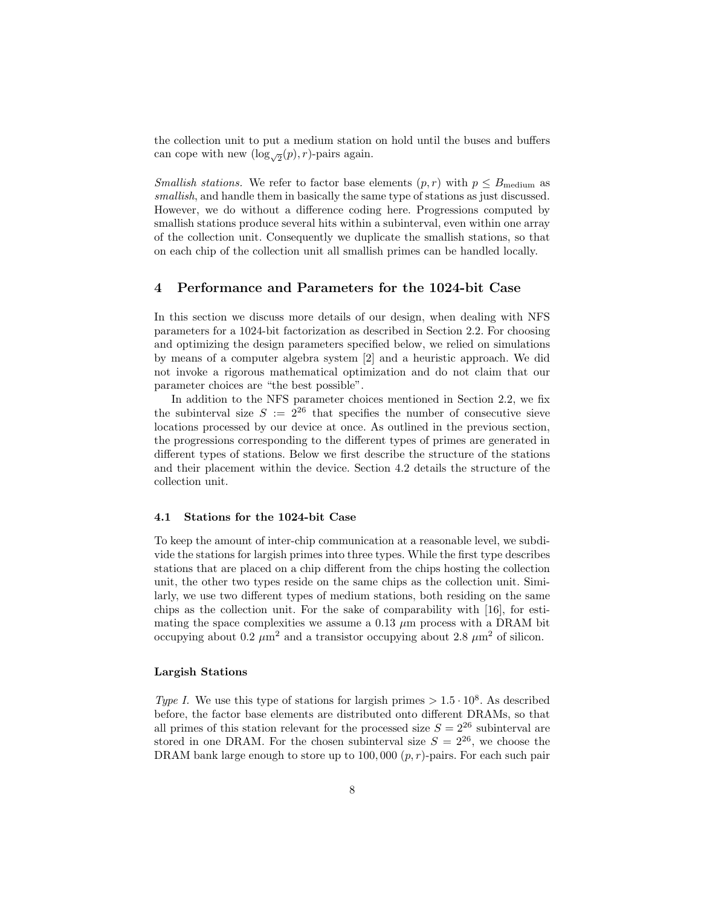the collection unit to put a medium station on hold until the buses and buffers can cope with new  $(\log_{\sqrt{2}}(p), r)$ -pairs again.

*Smallish stations.* We refer to factor base elements  $(p, r)$  with  $p \leq B_{\text{medium}}$  as smallish, and handle them in basically the same type of stations as just discussed. However, we do without a difference coding here. Progressions computed by smallish stations produce several hits within a subinterval, even within one array of the collection unit. Consequently we duplicate the smallish stations, so that on each chip of the collection unit all smallish primes can be handled locally.

# 4 Performance and Parameters for the 1024-bit Case

In this section we discuss more details of our design, when dealing with NFS parameters for a 1024-bit factorization as described in Section 2.2. For choosing and optimizing the design parameters specified below, we relied on simulations by means of a computer algebra system [2] and a heuristic approach. We did not invoke a rigorous mathematical optimization and do not claim that our parameter choices are "the best possible".

In addition to the NFS parameter choices mentioned in Section 2.2, we fix the subinterval size  $S := 2^{26}$  that specifies the number of consecutive sieve locations processed by our device at once. As outlined in the previous section, the progressions corresponding to the different types of primes are generated in different types of stations. Below we first describe the structure of the stations and their placement within the device. Section 4.2 details the structure of the collection unit.

## 4.1 Stations for the 1024-bit Case

To keep the amount of inter-chip communication at a reasonable level, we subdivide the stations for largish primes into three types. While the first type describes stations that are placed on a chip different from the chips hosting the collection unit, the other two types reside on the same chips as the collection unit. Similarly, we use two different types of medium stations, both residing on the same chips as the collection unit. For the sake of comparability with [16], for estimating the space complexities we assume a 0.13  $\mu$ m process with a DRAM bit occupying about 0.2  $\mu$ m<sup>2</sup> and a transistor occupying about 2.8  $\mu$ m<sup>2</sup> of silicon.

## Largish Stations

Type I. We use this type of stations for largish primes  $> 1.5 \cdot 10^8$ . As described before, the factor base elements are distributed onto different DRAMs, so that all primes of this station relevant for the processed size  $S = 2^{26}$  subinterval are stored in one DRAM. For the chosen subinterval size  $S = 2^{26}$ , we choose the DRAM bank large enough to store up to 100,000  $(p, r)$ -pairs. For each such pair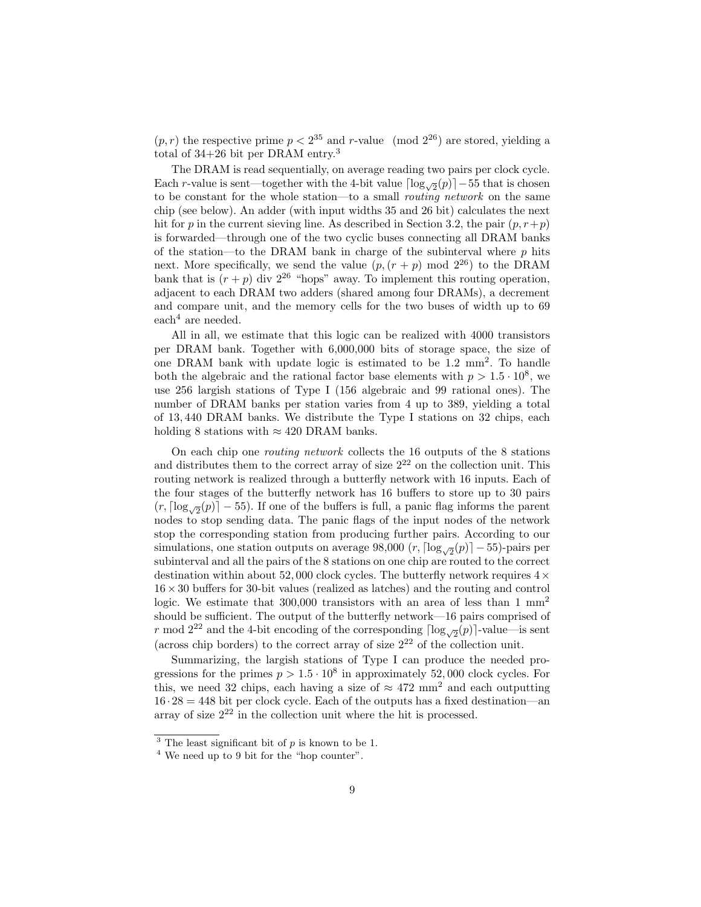$(p, r)$  the respective prime  $p < 2^{35}$  and r-value (mod  $2^{26}$ ) are stored, yielding a total of 34+26 bit per DRAM entry.<sup>3</sup>

The DRAM is read sequentially, on average reading two pairs per clock cycle. Each r-value is sent—together with the 4-bit value  $\lceil \log_{\sqrt{2}}(p) \rceil - 55$  that is chosen to be constant for the whole station—to a small routing network on the same chip (see below). An adder (with input widths 35 and 26 bit) calculates the next hit for p in the current sieving line. As described in Section 3.2, the pair  $(p, r+p)$ is forwarded—through one of the two cyclic buses connecting all DRAM banks of the station—to the DRAM bank in charge of the subinterval where  $p$  hits next. More specifically, we send the value  $(p,(r+p) \mod 2^{26})$  to the DRAM bank that is  $(r + p)$  div  $2^{26}$  "hops" away. To implement this routing operation, adjacent to each DRAM two adders (shared among four DRAMs), a decrement and compare unit, and the memory cells for the two buses of width up to 69  $\text{each}^4$  are needed.

All in all, we estimate that this logic can be realized with 4000 transistors per DRAM bank. Together with 6,000,000 bits of storage space, the size of one DRAM bank with update logic is estimated to be 1.2 mm<sup>2</sup> . To handle both the algebraic and the rational factor base elements with  $p > 1.5 \cdot 10^8$ , we use 256 largish stations of Type I (156 algebraic and 99 rational ones). The number of DRAM banks per station varies from 4 up to 389, yielding a total of 13, 440 DRAM banks. We distribute the Type I stations on 32 chips, each holding 8 stations with  $\approx 420$  DRAM banks.

On each chip one routing network collects the 16 outputs of the 8 stations and distributes them to the correct array of size  $2^{22}$  on the collection unit. This routing network is realized through a butterfly network with 16 inputs. Each of the four stages of the butterfly network has 16 buffers to store up to 30 pairs  $(r, \lceil \log_{\sqrt{2}}(p) \rceil - 55)$ . If one of the buffers is full, a panic flag informs the parent nodes to stop sending data. The panic flags of the input nodes of the network stop the corresponding station from producing further pairs. According to our simulations, one station outputs on average 98,000  $(r, \lceil \log_{\sqrt{2}}(p) \rceil - 55)$ -pairs per subinterval and all the pairs of the 8 stations on one chip are routed to the correct destination within about 52,000 clock cycles. The butterfly network requires  $4 \times$  $16\times30$  buffers for 30-bit values (realized as latches) and the routing and control logic. We estimate that  $300,000$  transistors with an area of less than 1 mm<sup>2</sup> should be sufficient. The output of the butterfly network—16 pairs comprised of r mod 2<sup>22</sup> and the 4-bit encoding of the corresponding  $\lceil \log_{\sqrt{2}}(p) \rceil$ -value—is sent (across chip borders) to the correct array of size  $2^{22}$  of the collection unit.

Summarizing, the largish stations of Type I can produce the needed progressions for the primes  $p > 1.5 \cdot 10^8$  in approximately 52,000 clock cycles. For this, we need 32 chips, each having a size of  $\approx 472$  mm<sup>2</sup> and each outputting  $16 \cdot 28 = 448$  bit per clock cycle. Each of the outputs has a fixed destination—an array of size  $2^{22}$  in the collection unit where the hit is processed.

<sup>&</sup>lt;sup>3</sup> The least significant bit of  $p$  is known to be 1.

<sup>4</sup> We need up to 9 bit for the "hop counter".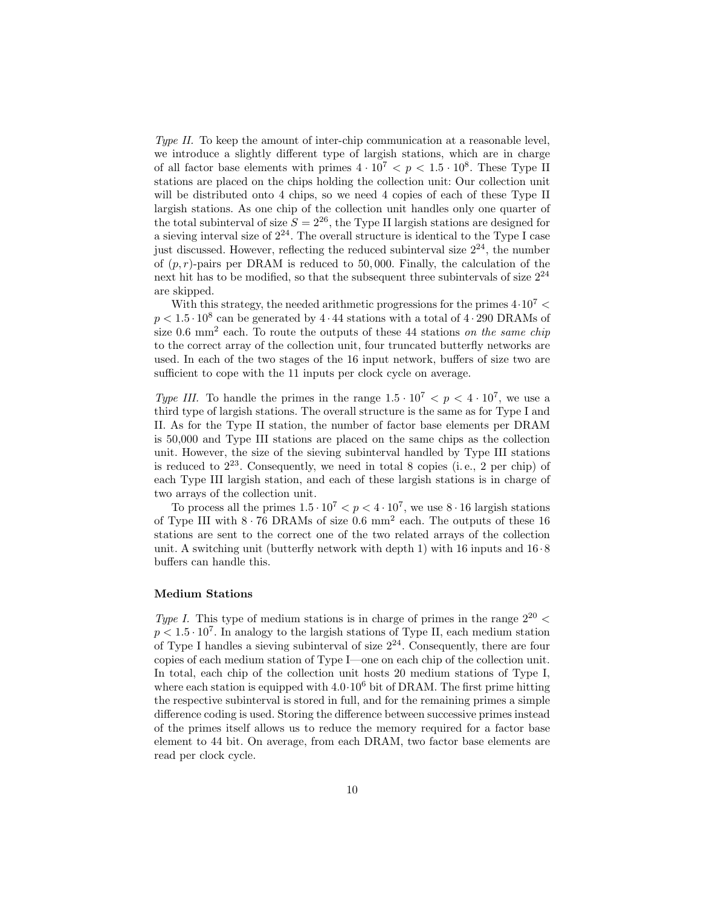Type II. To keep the amount of inter-chip communication at a reasonable level, we introduce a slightly different type of largish stations, which are in charge of all factor base elements with primes  $4 \cdot 10^7 < p < 1.5 \cdot 10^8$ . These Type II stations are placed on the chips holding the collection unit: Our collection unit will be distributed onto 4 chips, so we need 4 copies of each of these Type II largish stations. As one chip of the collection unit handles only one quarter of the total subinterval of size  $S = 2^{26}$ , the Type II largish stations are designed for a sieving interval size of  $2^{24}$ . The overall structure is identical to the Type I case just discussed. However, reflecting the reduced subinterval size  $2^{24}$ , the number of  $(p, r)$ -pairs per DRAM is reduced to 50,000. Finally, the calculation of the next hit has to be modified, so that the subsequent three subintervals of size  $2^{24}$ are skipped.

With this strategy, the needed arithmetic progressions for the primes  $4 \cdot 10^7$  <  $p < 1.5 \cdot 10^8$  can be generated by  $4 \cdot 44$  stations with a total of  $4 \cdot 290$  DRAMs of size 0.6 mm<sup>2</sup> each. To route the outputs of these 44 stations on the same chip to the correct array of the collection unit, four truncated butterfly networks are used. In each of the two stages of the 16 input network, buffers of size two are sufficient to cope with the 11 inputs per clock cycle on average.

Type III. To handle the primes in the range  $1.5 \cdot 10^7 < p < 4 \cdot 10^7$ , we use a third type of largish stations. The overall structure is the same as for Type I and II. As for the Type II station, the number of factor base elements per DRAM is 50,000 and Type III stations are placed on the same chips as the collection unit. However, the size of the sieving subinterval handled by Type III stations is reduced to  $2^{23}$ . Consequently, we need in total 8 copies (i.e., 2 per chip) of each Type III largish station, and each of these largish stations is in charge of two arrays of the collection unit.

To process all the primes  $1.5 \cdot 10^7 < p < 4 \cdot 10^7$ , we use  $8 \cdot 16$  largish stations of Type III with  $8 \cdot 76$  DRAMs of size 0.6 mm<sup>2</sup> each. The outputs of these 16 stations are sent to the correct one of the two related arrays of the collection unit. A switching unit (butterfly network with depth 1) with 16 inputs and  $16 \cdot 8$ buffers can handle this.

### Medium Stations

Type I. This type of medium stations is in charge of primes in the range  $2^{20}$  <  $p < 1.5 \cdot 10^7$ . In analogy to the largish stations of Type II, each medium station of Type I handles a sieving subinterval of size  $2^{24}$ . Consequently, there are four copies of each medium station of Type I—one on each chip of the collection unit. In total, each chip of the collection unit hosts 20 medium stations of Type I, where each station is equipped with  $4.0 \cdot 10^6$  bit of DRAM. The first prime hitting the respective subinterval is stored in full, and for the remaining primes a simple difference coding is used. Storing the difference between successive primes instead of the primes itself allows us to reduce the memory required for a factor base element to 44 bit. On average, from each DRAM, two factor base elements are read per clock cycle.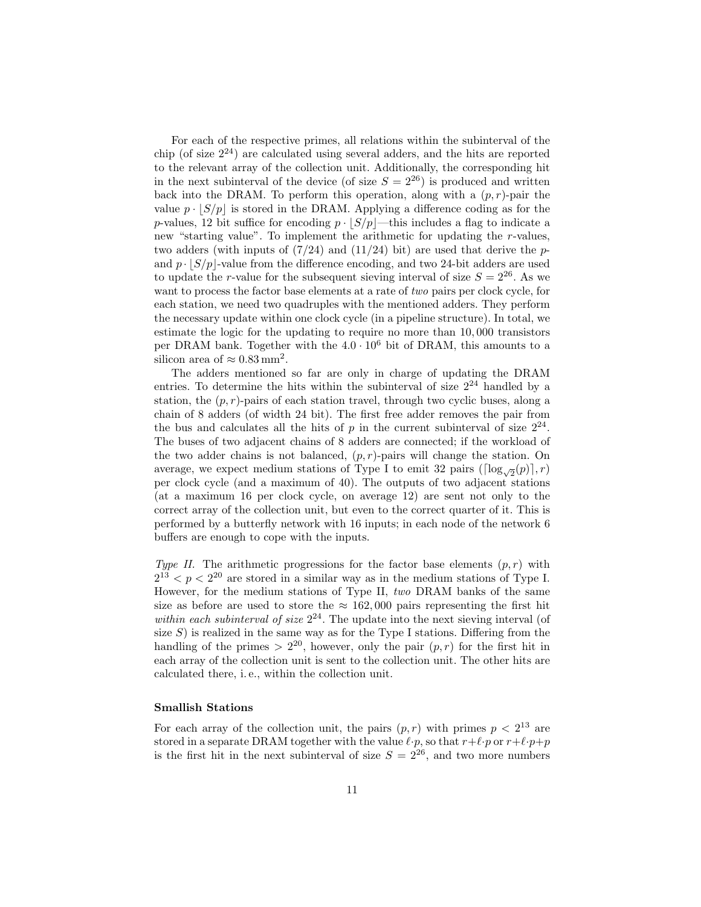For each of the respective primes, all relations within the subinterval of the chip (of size  $2^{24}$ ) are calculated using several adders, and the hits are reported to the relevant array of the collection unit. Additionally, the corresponding hit in the next subinterval of the device (of size  $S = 2^{26}$ ) is produced and written back into the DRAM. To perform this operation, along with a  $(p, r)$ -pair the value  $p \cdot |S/p|$  is stored in the DRAM. Applying a difference coding as for the p-values, 12 bit suffice for encoding  $p \cdot |S/p|$ —this includes a flag to indicate a new "starting value". To implement the arithmetic for updating the r-values, two adders (with inputs of  $(7/24)$  and  $(11/24)$  bit) are used that derive the pand  $p \cdot |S/p|$ -value from the difference encoding, and two 24-bit adders are used to update the r-value for the subsequent sieving interval of size  $S = 2^{26}$ . As we want to process the factor base elements at a rate of two pairs per clock cycle, for each station, we need two quadruples with the mentioned adders. They perform the necessary update within one clock cycle (in a pipeline structure). In total, we estimate the logic for the updating to require no more than 10, 000 transistors per DRAM bank. Together with the  $4.0 \cdot 10^6$  bit of DRAM, this amounts to a silicon area of  $\approx 0.83 \,\mathrm{mm}^2$ .

The adders mentioned so far are only in charge of updating the DRAM entries. To determine the hits within the subinterval of size  $2^{24}$  handled by a station, the  $(p, r)$ -pairs of each station travel, through two cyclic buses, along a chain of 8 adders (of width 24 bit). The first free adder removes the pair from the bus and calculates all the hits of  $p$  in the current subinterval of size  $2^{24}$ . The buses of two adjacent chains of 8 adders are connected; if the workload of the two adder chains is not balanced,  $(p, r)$ -pairs will change the station. On average, we expect medium stations of Type I to emit 32 pairs ( $\lceil \log_{\sqrt{2}}(p) \rceil, r$ ) per clock cycle (and a maximum of 40). The outputs of two adjacent stations (at a maximum 16 per clock cycle, on average 12) are sent not only to the correct array of the collection unit, but even to the correct quarter of it. This is performed by a butterfly network with 16 inputs; in each node of the network 6 buffers are enough to cope with the inputs.

Type II. The arithmetic progressions for the factor base elements  $(p, r)$  with  $2^{13} < p < 2^{20}$  are stored in a similar way as in the medium stations of Type I. However, for the medium stations of Type II, two DRAM banks of the same size as before are used to store the  $\approx 162,000$  pairs representing the first hit within each subinterval of size  $2^{24}$ . The update into the next sieving interval (of size  $S$ ) is realized in the same way as for the Type I stations. Differing from the handling of the primes  $> 2^{20}$ , however, only the pair  $(p, r)$  for the first hit in each array of the collection unit is sent to the collection unit. The other hits are calculated there, i. e., within the collection unit.

### Smallish Stations

For each array of the collection unit, the pairs  $(p, r)$  with primes  $p < 2^{13}$  are stored in a separate DRAM together with the value  $\ell \cdot p$ , so that  $r+\ell \cdot p$  or  $r+\ell \cdot p+p$ is the first hit in the next subinterval of size  $S = 2^{26}$ , and two more numbers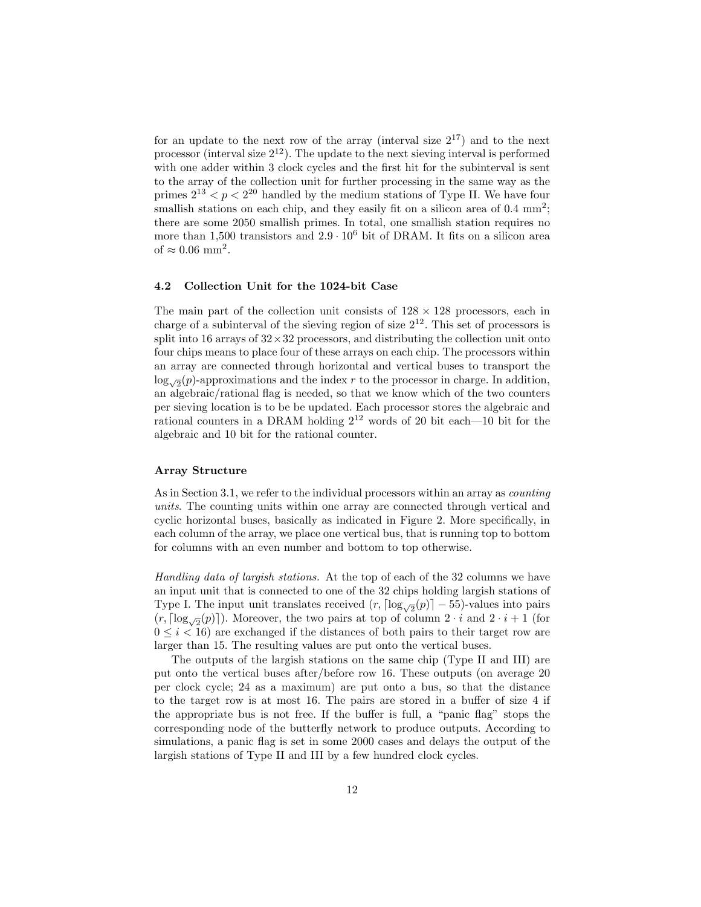for an update to the next row of the array (interval size  $2^{17}$ ) and to the next processor (interval size  $2^{12}$ ). The update to the next sieving interval is performed with one adder within 3 clock cycles and the first hit for the subinterval is sent to the array of the collection unit for further processing in the same way as the primes  $2^{13} < p < 2^{20}$  handled by the medium stations of Type II. We have four smallish stations on each chip, and they easily fit on a silicon area of  $0.4 \text{ mm}^2$ ; there are some 2050 smallish primes. In total, one smallish station requires no more than 1,500 transistors and  $2.9 \cdot 10^6$  bit of DRAM. It fits on a silicon area of  $\approx 0.06$  mm<sup>2</sup>.

#### 4.2 Collection Unit for the 1024-bit Case

The main part of the collection unit consists of  $128 \times 128$  processors, each in charge of a subinterval of the sieving region of size  $2^{12}$ . This set of processors is split into 16 arrays of  $32 \times 32$  processors, and distributing the collection unit onto four chips means to place four of these arrays on each chip. The processors within an array are connected through horizontal and vertical buses to transport the  $\log_{\sqrt{2}}(p)$ -approximations and the index r to the processor in charge. In addition, an algebraic/rational flag is needed, so that we know which of the two counters per sieving location is to be be updated. Each processor stores the algebraic and rational counters in a DRAM holding  $2^{12}$  words of 20 bit each—10 bit for the algebraic and 10 bit for the rational counter.

## Array Structure

As in Section 3.1, we refer to the individual processors within an array as counting units. The counting units within one array are connected through vertical and cyclic horizontal buses, basically as indicated in Figure 2. More specifically, in each column of the array, we place one vertical bus, that is running top to bottom for columns with an even number and bottom to top otherwise.

Handling data of largish stations. At the top of each of the 32 columns we have an input unit that is connected to one of the 32 chips holding largish stations of Type I. The input unit translates received  $(r, \lceil \log_{\sqrt{2}}(p) \rceil - 55)$ -values into pairs  $(r, \lceil \log_{\sqrt{2}}(p) \rceil)$ . Moreover, the two pairs at top of column  $2 \cdot i$  and  $2 \cdot i + 1$  (for  $0 \leq i < 16$ ) are exchanged if the distances of both pairs to their target row are larger than 15. The resulting values are put onto the vertical buses.

The outputs of the largish stations on the same chip (Type II and III) are put onto the vertical buses after/before row 16. These outputs (on average 20 per clock cycle; 24 as a maximum) are put onto a bus, so that the distance to the target row is at most 16. The pairs are stored in a buffer of size 4 if the appropriate bus is not free. If the buffer is full, a "panic flag" stops the corresponding node of the butterfly network to produce outputs. According to simulations, a panic flag is set in some 2000 cases and delays the output of the largish stations of Type II and III by a few hundred clock cycles.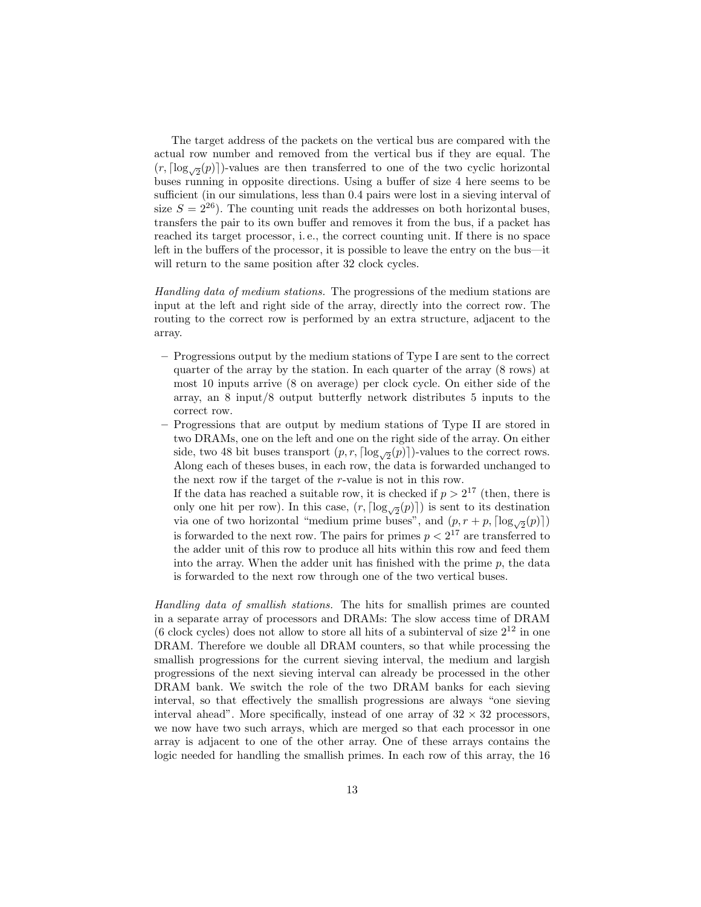The target address of the packets on the vertical bus are compared with the actual row number and removed from the vertical bus if they are equal. The  $(r, \lceil \log_{\sqrt{2}}(p) \rceil)$ -values are then transferred to one of the two cyclic horizontal buses running in opposite directions. Using a buffer of size 4 here seems to be sufficient (in our simulations, less than 0.4 pairs were lost in a sieving interval of size  $S = 2^{26}$ ). The counting unit reads the addresses on both horizontal buses, transfers the pair to its own buffer and removes it from the bus, if a packet has reached its target processor, i. e., the correct counting unit. If there is no space left in the buffers of the processor, it is possible to leave the entry on the bus—it will return to the same position after 32 clock cycles.

Handling data of medium stations. The progressions of the medium stations are input at the left and right side of the array, directly into the correct row. The routing to the correct row is performed by an extra structure, adjacent to the array.

- Progressions output by the medium stations of Type I are sent to the correct quarter of the array by the station. In each quarter of the array (8 rows) at most 10 inputs arrive (8 on average) per clock cycle. On either side of the array, an 8 input/8 output butterfly network distributes 5 inputs to the correct row.
- Progressions that are output by medium stations of Type II are stored in two DRAMs, one on the left and one on the right side of the array. On either side, two 48 bit buses transport  $(p, r, \lceil \log_{\sqrt{2}}(p) \rceil)$ -values to the correct rows. Along each of theses buses, in each row, the data is forwarded unchanged to the next row if the target of the r-value is not in this row.

If the data has reached a suitable row, it is checked if  $p > 2^{17}$  (then, there is only one hit per row). In this case,  $(r, \lceil \log_{\sqrt{2}}(p) \rceil)$  is sent to its destination via one of two horizontal "medium prime buses", and  $(p, r + p, \lceil \log_{\sqrt{2}}(p) \rceil)$ is forwarded to the next row. The pairs for primes  $p < 2^{17}$  are transferred to the adder unit of this row to produce all hits within this row and feed them into the array. When the adder unit has finished with the prime  $p$ , the data is forwarded to the next row through one of the two vertical buses.

Handling data of smallish stations. The hits for smallish primes are counted in a separate array of processors and DRAMs: The slow access time of DRAM (6 clock cycles) does not allow to store all hits of a subinterval of size  $2^{12}$  in one DRAM. Therefore we double all DRAM counters, so that while processing the smallish progressions for the current sieving interval, the medium and largish progressions of the next sieving interval can already be processed in the other DRAM bank. We switch the role of the two DRAM banks for each sieving interval, so that effectively the smallish progressions are always "one sieving interval ahead". More specifically, instead of one array of  $32 \times 32$  processors, we now have two such arrays, which are merged so that each processor in one array is adjacent to one of the other array. One of these arrays contains the logic needed for handling the smallish primes. In each row of this array, the 16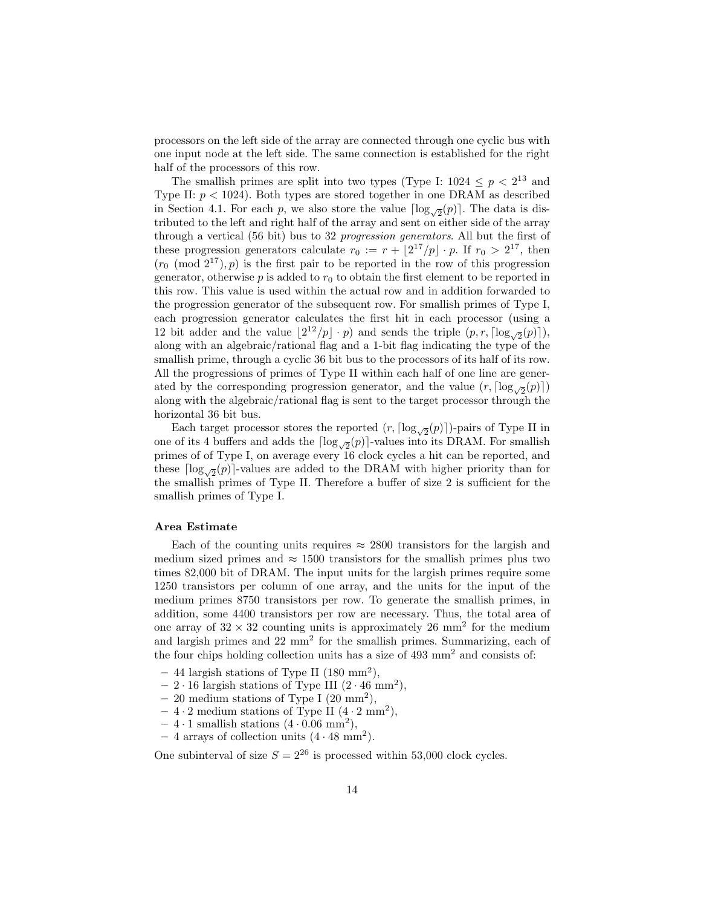processors on the left side of the array are connected through one cyclic bus with one input node at the left side. The same connection is established for the right half of the processors of this row.

The smallish primes are split into two types (Type I:  $1024 \leq p < 2^{13}$  and Type II:  $p < 1024$ ). Both types are stored together in one DRAM as described in Section 4.1. For each p, we also store the value  $\lceil \log_{\sqrt{2}}(p) \rceil$ . The data is distributed to the left and right half of the array and sent on either side of the array through a vertical (56 bit) bus to 32 progression generators. All but the first of these progression generators calculate  $r_0 := r + \lfloor 2^{17}/p \rfloor \cdot p$ . If  $r_0 > 2^{17}$ , then  $(r_0 \pmod{2^{17}}, p)$  is the first pair to be reported in the row of this progression generator, otherwise  $p$  is added to  $r_0$  to obtain the first element to be reported in this row. This value is used within the actual row and in addition forwarded to the progression generator of the subsequent row. For smallish primes of Type I, each progression generator calculates the first hit in each processor (using a 12 bit adder and the value  $\lfloor 2^{12}/p \rfloor \cdot p$ ) and sends the triple  $(p, r, \lceil \log_{\sqrt{2}}(p) \rceil)$ , along with an algebraic/rational flag and a 1-bit flag indicating the type of the smallish prime, through a cyclic 36 bit bus to the processors of its half of its row. All the progressions of primes of Type II within each half of one line are generated by the corresponding progression generator, and the value  $(r, \lceil \log_{\sqrt{2}}(p) \rceil)$ along with the algebraic/rational flag is sent to the target processor through the horizontal 36 bit bus.

Each target processor stores the reported  $(r, \lceil \log_{\sqrt{2}}(p) \rceil)$ -pairs of Type II in one of its 4 buffers and adds the  $\lceil \log_{\sqrt{2}}(p) \rceil$ -values into its DRAM. For smallish primes of of Type I, on average every 16 clock cycles a hit can be reported, and these  $\lceil \log_{\sqrt{2}}(p) \rceil$ -values are added to the DRAM with higher priority than for the smallish primes of Type II. Therefore a buffer of size 2 is sufficient for the smallish primes of Type I.

## Area Estimate

Each of the counting units requires  $\approx 2800$  transistors for the largish and medium sized primes and  $\approx 1500$  transistors for the smallish primes plus two times 82,000 bit of DRAM. The input units for the largish primes require some 1250 transistors per column of one array, and the units for the input of the medium primes 8750 transistors per row. To generate the smallish primes, in addition, some 4400 transistors per row are necessary. Thus, the total area of one array of  $32 \times 32$  counting units is approximately 26 mm<sup>2</sup> for the medium and largish primes and  $22 \text{ mm}^2$  for the smallish primes. Summarizing, each of the four chips holding collection units has a size of 493 mm<sup>2</sup> and consists of:

- $-44$  largish stations of Type II (180 mm<sup>2</sup>),
- $-2 \cdot 16$  largish stations of Type III  $(2 \cdot 46 \text{ mm}^2)$ ,
- $-20$  medium stations of Type I  $(20 \text{ mm}^2)$ ,
- $-4 \cdot 2$  medium stations of Type II  $(4 \cdot 2 \text{ mm}^2)$ ,
- $-4.1$  smallish stations  $(4.0.06$  mm<sup>2</sup>),
- $-4$  arrays of collection units  $(4 \cdot 48 \text{ mm}^2)$ .

One subinterval of size  $S = 2^{26}$  is processed within 53,000 clock cycles.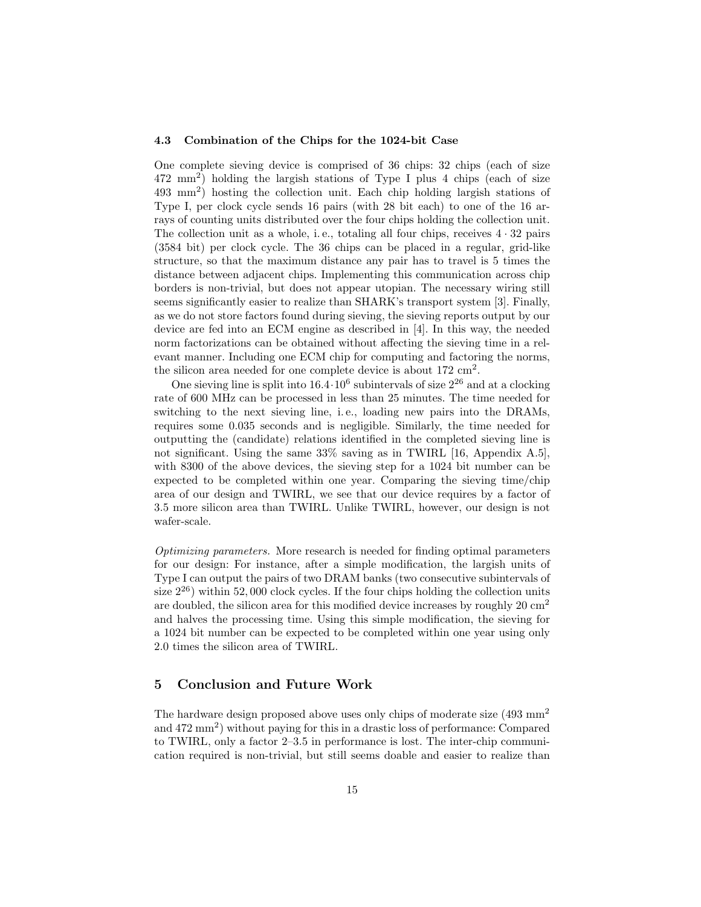#### 4.3 Combination of the Chips for the 1024-bit Case

One complete sieving device is comprised of 36 chips: 32 chips (each of size 472 mm<sup>2</sup> ) holding the largish stations of Type I plus 4 chips (each of size 493 mm<sup>2</sup> ) hosting the collection unit. Each chip holding largish stations of Type I, per clock cycle sends 16 pairs (with 28 bit each) to one of the 16 arrays of counting units distributed over the four chips holding the collection unit. The collection unit as a whole, i.e., totaling all four chips, receives  $4 \cdot 32$  pairs (3584 bit) per clock cycle. The 36 chips can be placed in a regular, grid-like structure, so that the maximum distance any pair has to travel is 5 times the distance between adjacent chips. Implementing this communication across chip borders is non-trivial, but does not appear utopian. The necessary wiring still seems significantly easier to realize than SHARK's transport system [3]. Finally, as we do not store factors found during sieving, the sieving reports output by our device are fed into an ECM engine as described in [4]. In this way, the needed norm factorizations can be obtained without affecting the sieving time in a relevant manner. Including one ECM chip for computing and factoring the norms, the silicon area needed for one complete device is about  $172 \text{ cm}^2$ .

One sieving line is split into  $16.4 \cdot 10^6$  subintervals of size  $2^{26}$  and at a clocking rate of 600 MHz can be processed in less than 25 minutes. The time needed for switching to the next sieving line, i.e., loading new pairs into the DRAMs, requires some 0.035 seconds and is negligible. Similarly, the time needed for outputting the (candidate) relations identified in the completed sieving line is not significant. Using the same 33% saving as in TWIRL [16, Appendix A.5], with 8300 of the above devices, the sieving step for a 1024 bit number can be expected to be completed within one year. Comparing the sieving time/chip area of our design and TWIRL, we see that our device requires by a factor of 3.5 more silicon area than TWIRL. Unlike TWIRL, however, our design is not wafer-scale.

Optimizing parameters. More research is needed for finding optimal parameters for our design: For instance, after a simple modification, the largish units of Type I can output the pairs of two DRAM banks (two consecutive subintervals of size  $2^{26}$ ) within 52,000 clock cycles. If the four chips holding the collection units are doubled, the silicon area for this modified device increases by roughly  $20 \text{ cm}^2$ and halves the processing time. Using this simple modification, the sieving for a 1024 bit number can be expected to be completed within one year using only 2.0 times the silicon area of TWIRL.

# 5 Conclusion and Future Work

The hardware design proposed above uses only chips of moderate size (493 mm<sup>2</sup>) and 472 mm<sup>2</sup> ) without paying for this in a drastic loss of performance: Compared to TWIRL, only a factor 2–3.5 in performance is lost. The inter-chip communication required is non-trivial, but still seems doable and easier to realize than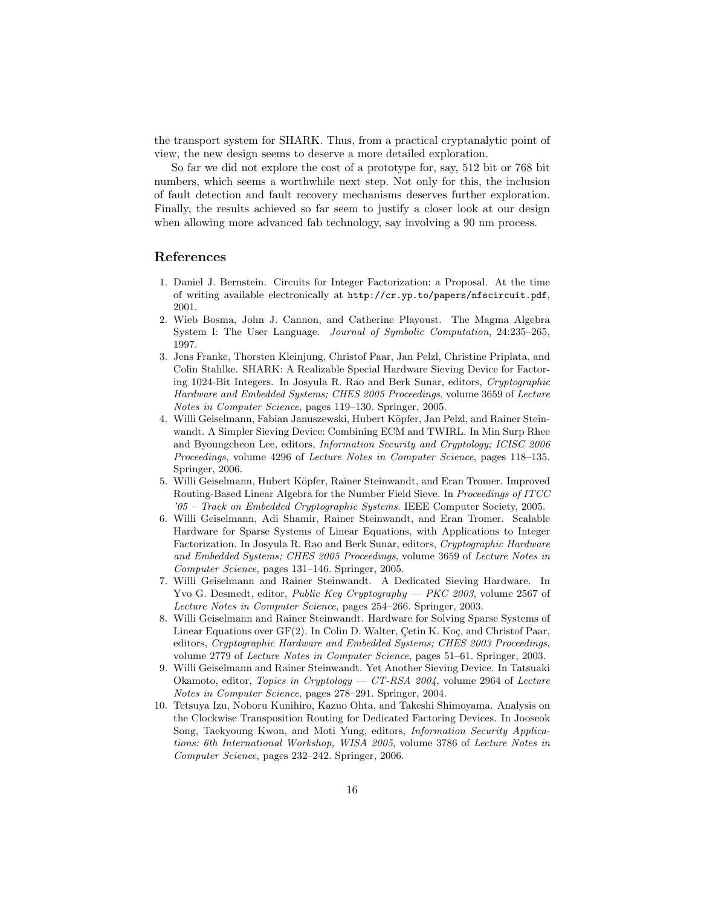the transport system for SHARK. Thus, from a practical cryptanalytic point of view, the new design seems to deserve a more detailed exploration.

So far we did not explore the cost of a prototype for, say, 512 bit or 768 bit numbers, which seems a worthwhile next step. Not only for this, the inclusion of fault detection and fault recovery mechanisms deserves further exploration. Finally, the results achieved so far seem to justify a closer look at our design when allowing more advanced fab technology, say involving a 90 nm process.

## References

- 1. Daniel J. Bernstein. Circuits for Integer Factorization: a Proposal. At the time of writing available electronically at http://cr.yp.to/papers/nfscircuit.pdf, 2001.
- 2. Wieb Bosma, John J. Cannon, and Catherine Playoust. The Magma Algebra System I: The User Language. Journal of Symbolic Computation, 24:235–265, 1997.
- 3. Jens Franke, Thorsten Kleinjung, Christof Paar, Jan Pelzl, Christine Priplata, and Colin Stahlke. SHARK: A Realizable Special Hardware Sieving Device for Factoring 1024-Bit Integers. In Josyula R. Rao and Berk Sunar, editors, Cryptographic Hardware and Embedded Systems; CHES 2005 Proceedings, volume 3659 of Lecture Notes in Computer Science, pages 119–130. Springer, 2005.
- 4. Willi Geiselmann, Fabian Januszewski, Hubert Köpfer, Jan Pelzl, and Rainer Steinwandt. A Simpler Sieving Device: Combining ECM and TWIRL. In Min Surp Rhee and Byoungcheon Lee, editors, Information Security and Cryptology; ICISC 2006 Proceedings, volume 4296 of Lecture Notes in Computer Science, pages 118–135. Springer, 2006.
- 5. Willi Geiselmann, Hubert Köpfer, Rainer Steinwandt, and Eran Tromer. Improved Routing-Based Linear Algebra for the Number Field Sieve. In Proceedings of ITCC '05 – Track on Embedded Cryptographic Systems. IEEE Computer Society, 2005.
- 6. Willi Geiselmann, Adi Shamir, Rainer Steinwandt, and Eran Tromer. Scalable Hardware for Sparse Systems of Linear Equations, with Applications to Integer Factorization. In Josyula R. Rao and Berk Sunar, editors, Cryptographic Hardware and Embedded Systems; CHES 2005 Proceedings, volume 3659 of Lecture Notes in Computer Science, pages 131–146. Springer, 2005.
- 7. Willi Geiselmann and Rainer Steinwandt. A Dedicated Sieving Hardware. In Yvo G. Desmedt, editor, *Public Key Cryptography — PKC 2003*, volume 2567 of Lecture Notes in Computer Science, pages 254–266. Springer, 2003.
- 8. Willi Geiselmann and Rainer Steinwandt. Hardware for Solving Sparse Systems of Linear Equations over  $GF(2)$ . In Colin D. Walter, Cetin K. Koç, and Christof Paar, editors, Cryptographic Hardware and Embedded Systems; CHES 2003 Proceedings, volume 2779 of Lecture Notes in Computer Science, pages 51–61. Springer, 2003.
- 9. Willi Geiselmann and Rainer Steinwandt. Yet Another Sieving Device. In Tatsuaki Okamoto, editor, Topics in Cryptology – CT-RSA 2004, volume 2964 of Lecture Notes in Computer Science, pages 278–291. Springer, 2004.
- 10. Tetsuya Izu, Noboru Kunihiro, Kazuo Ohta, and Takeshi Shimoyama. Analysis on the Clockwise Transposition Routing for Dedicated Factoring Devices. In Jooseok Song, Taekyoung Kwon, and Moti Yung, editors, Information Security Applications: 6th International Workshop, WISA 2005, volume 3786 of Lecture Notes in Computer Science, pages 232–242. Springer, 2006.